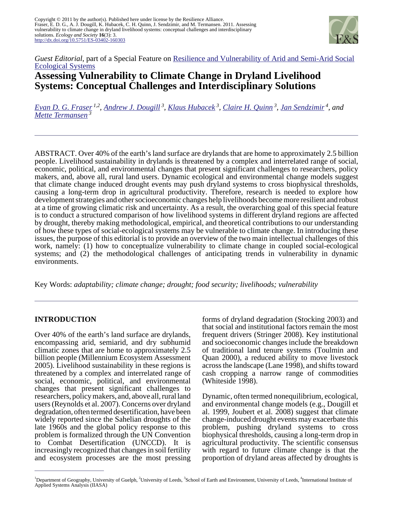

*Guest Editorial*, part of a Special Feature on [Resilience and Vulnerability of Arid and Semi-Arid Social](http://www.ecologyandsociety.org/viewissue.php?sf=52) [Ecological Systems](http://www.ecologyandsociety.org/viewissue.php?sf=52)

# **Assessing Vulnerability to Climate Change in Dryland Livelihood Systems: Conceptual Challenges and Interdisciplinary Solutions**

*[Evan D. G. Fraser](mailto:frasere@uoguelph.ca) 1,2 , [Andrew J. Dougill](mailto:a.j.dougill@leeds.ac.uk)<sup>3</sup> , [Klaus Hubacek](mailto:hubacek@env.leeds.ac.uk)<sup>3</sup> , [Claire H. Quinn](mailto:C.H.Quinn@leeds.ac.uk)<sup>3</sup> , [Jan Sendzimir](mailto:sendzim@iiasa.ac.at)<sup>4</sup>, and [Mette Termansen](mailto:mette@env.leeds.ac.uk)<sup>3</sup>*

ABSTRACT. Over 40% of the earth's land surface are drylands that are home to approximately 2.5 billion people. Livelihood sustainability in drylands is threatened by a complex and interrelated range of social, economic, political, and environmental changes that present significant challenges to researchers, policy makers, and, above all, rural land users. Dynamic ecological and environmental change models suggest that climate change induced drought events may push dryland systems to cross biophysical thresholds, causing a long-term drop in agricultural productivity. Therefore, research is needed to explore how development strategies and other socioeconomic changes help livelihoods become more resilient and robust at a time of growing climatic risk and uncertainty. As a result, the overarching goal of this special feature is to conduct a structured comparison of how livelihood systems in different dryland regions are affected by drought, thereby making methodological, empirical, and theoretical contributions to our understanding of how these types of social-ecological systems may be vulnerable to climate change. In introducing these issues, the purpose of this editorial is to provide an overview of the two main intellectual challenges of this work, namely: (1) how to conceptualize vulnerability to climate change in coupled social-ecological systems; and (2) the methodological challenges of anticipating trends in vulnerability in dynamic environments.

Key Words: *adaptability; climate change; drought; food security; livelihoods; vulnerability*

# **INTRODUCTION**

Over 40% of the earth's land surface are drylands, encompassing arid, semiarid, and dry subhumid climatic zones that are home to approximately 2.5 billion people (Millennium Ecosystem Assessment 2005). Livelihood sustainability in these regions is threatened by a complex and interrelated range of social, economic, political, and environmental changes that present significant challenges to researchers, policy makers, and, above all, rural land users (Reynolds et al. 2007). Concerns over dryland degradation, often termed desertification, have been widely reported since the Sahelian droughts of the late 1960s and the global policy response to this problem is formalized through the UN Convention to Combat Desertification (UNCCD). It is increasingly recognized that changes in soil fertility and ecosystem processes are the most pressing forms of dryland degradation (Stocking 2003) and that social and institutional factors remain the most frequent drivers (Stringer 2008). Key institutional and socioeconomic changes include the breakdown of traditional land tenure systems (Toulmin and Quan 2000), a reduced ability to move livestock across the landscape (Lane 1998), and shifts toward cash cropping a narrow range of commodities (Whiteside 1998).

Dynamic, often termed nonequilibrium, ecological, and environmental change models (e.g., Dougill et al. 1999, Joubert et al. 2008) suggest that climate change-induced drought events may exacerbate this problem, pushing dryland systems to cross biophysical thresholds, causing a long-term drop in agricultural productivity. The scientific consensus with regard to future climate change is that the proportion of dryland areas affected by droughts is

<sup>&</sup>lt;sup>1</sup>Department of Geography, University of Guelph, <sup>2</sup>University of Leeds, <sup>3</sup>School of Earth and Environment, University of Leeds, <sup>4</sup>International Institute of Applied Systems Analysis (IIASA)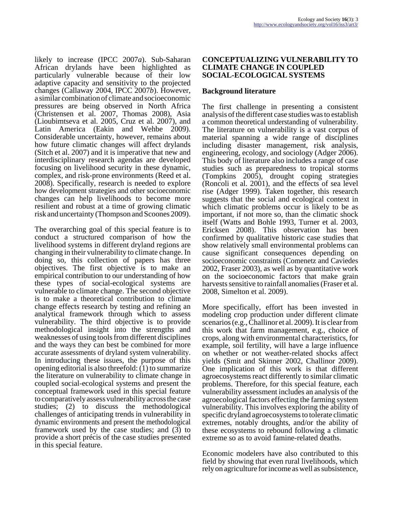likely to increase (IPCC 2007*a*). Sub-Saharan African drylands have been highlighted as particularly vulnerable because of their low adaptive capacity and sensitivity to the projected changes (Callaway 2004, IPCC 2007*b*). However, a similar combination of climate and socioeconomic pressures are being observed in North Africa (Christensen et al. 2007, Thomas 2008), Asia (Lioubimtseva et al. 2005, Cruz et al. 2007), and Latin America (Eakin and Wehbe 2009). Considerable uncertainty, however, remains about how future climatic changes will affect drylands (Sitch et al. 2007) and it is imperative that new and interdisciplinary research agendas are developed focusing on livelihood security in these dynamic, complex, and risk-prone environments (Reed et al. 2008). Specifically, research is needed to explore how development strategies and other socioeconomic changes can help livelihoods to become more resilient and robust at a time of growing climatic risk and uncertainty (Thompson and Scoones 2009).

The overarching goal of this special feature is to conduct a structured comparison of how the livelihood systems in different dryland regions are changing in their vulnerability to climate change. In doing so, this collection of papers has three objectives. The first objective is to make an empirical contribution to our understanding of how these types of social-ecological systems are vulnerable to climate change. The second objective is to make a theoretical contribution to climate change effects research by testing and refining an analytical framework through which to assess vulnerability. The third objective is to provide methodological insight into the strengths and weaknesses of using tools from different disciplines and the ways they can best be combined for more accurate assessments of dryland system vulnerability. In introducing these issues, the purpose of this opening editorial is also threefold: (1) to summarize the literature on vulnerability to climate change in coupled social-ecological systems and present the conceptual framework used in this special feature to comparatively assess vulnerability across the case studies; (2) to discuss the methodological challenges of anticipating trends in vulnerability in dynamic environments and present the methodological framework used by the case studies; and (3) to provide a short précis of the case studies presented in this special feature.

### **CONCEPTUALIZING VULNERABILITY TO CLIMATE CHANGE IN COUPLED SOCIAL-ECOLOGICAL SYSTEMS**

## **Background literature**

The first challenge in presenting a consistent analysis of the different case studies was to establish a common theoretical understanding of vulnerability. The literature on vulnerability is a vast corpus of material spanning a wide range of disciplines including disaster management, risk analysis, engineering, ecology, and sociology (Adger 2006). This body of literature also includes a range of case studies such as preparedness to tropical storms (Tompkins 2005), drought coping strategies (Roncoli et al. 2001), and the effects of sea level rise (Adger 1999). Taken together, this research suggests that the social and ecological context in which climatic problems occur is likely to be as important, if not more so, than the climatic shock itself (Watts and Bohle 1993, Turner et al. 2003, Ericksen 2008). This observation has been confirmed by qualitative historic case studies that show relatively small environmental problems can cause significant consequences depending on socioeconomic constraints (Comenetz and Caviedes 2002, Fraser 2003), as well as by quantitative work on the socioeconomic factors that make grain harvests sensitive to rainfall anomalies (Fraser et al. 2008, Simelton et al. 2009).

More specifically, effort has been invested in modeling crop production under different climate scenarios (e.g., Challinor et al. 2009). It is clear from this work that farm management, e.g., choice of crops, along with environmental characteristics, for example, soil fertility, will have a large influence on whether or not weather-related shocks affect yields (Smit and Skinner 2002, Challinor 2009). One implication of this work is that different agroecosystems react differently to similar climatic problems. Therefore, for this special feature, each vulnerability assessment includes an analysis of the agroecological factors effecting the farming system vulnerability. This involves exploring the ability of specific dryland agroecosystems to tolerate climatic extremes, notably droughts, and/or the ability of these ecosystems to rebound following a climatic extreme so as to avoid famine-related deaths.

Economic modelers have also contributed to this field by showing that even rural livelihoods, which rely on agriculture for income as well as subsistence,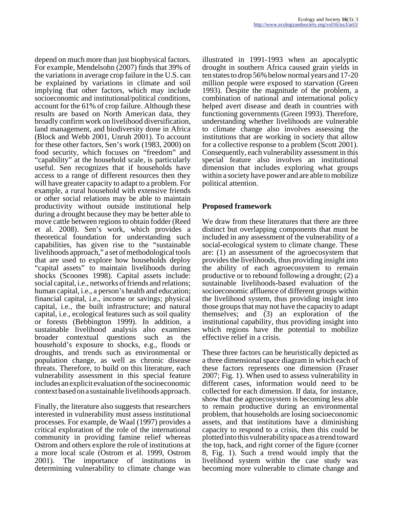depend on much more than just biophysical factors. For example, Mendelsohn (2007) finds that 39% of the variations in average crop failure in the U.S. can be explained by variations in climate and soil implying that other factors, which may include socioeconomic and institutional/political conditions, account for the 61% of crop failure. Although these results are based on North American data, they broadly confirm work on livelihood diversification, land management, and biodiversity done in Africa (Block and Webb 2001, Unruh 2001). To account for these other factors, Sen's work (1983, 2000) on food security, which focuses on "freedom" and "capability" at the household scale, is particularly useful. Sen recognizes that if households have access to a range of different resources then they will have greater capacity to adapt to a problem. For example, a rural household with extensive friends or other social relations may be able to maintain productivity without outside institutional help during a drought because they may be better able to move cattle between regions to obtain fodder (Reed et al. 2008). Sen's work, which provides a theoretical foundation for understanding such capabilities, has given rise to the "sustainable livelihoods approach," a set of methodological tools that are used to explore how households deploy "capital assets" to maintain livelihoods during shocks (Scoones 1998). Capital assets include: social capital, i.e., networks of friends and relations; human capital, i.e., a person's health and education; financial capital, i.e., income or savings; physical capital, i.e., the built infrastructure; and natural capital, i.e., ecological features such as soil quality or forests (Bebbington 1999). In addition, a sustainable livelihood analysis also examines broader contextual questions such as the household's exposure to shocks, e.g., floods or droughts, and trends such as environmental or population change, as well as chronic disease threats. Therefore, to build on this literature, each vulnerability assessment in this special feature includes an explicit evaluation of the socioeconomic context based on a sustainable livelihoods approach.

Finally, the literature also suggests that researchers interested in vulnerability must assess institutional processes. For example, de Waal (1997) provides a critical exploration of the role of the international community in providing famine relief whereas Ostrom and others explore the role of institutions at a more local scale (Ostrom et al. 1999, Ostrom 2001). The importance of institutions in determining vulnerability to climate change was

illustrated in 1991-1993 when an apocalyptic drought in southern Africa caused grain yields in ten states to drop 56% below normal years and 17-20 million people were exposed to starvation (Green 1993). Despite the magnitude of the problem, a combination of national and international policy helped avert disease and death in countries with functioning governments (Green 1993). Therefore, understanding whether livelihoods are vulnerable to climate change also involves assessing the institutions that are working in society that allow for a collective response to a problem (Scott 2001). Consequently, each vulnerability assessment in this special feature also involves an institutional dimension that includes exploring what groups within a society have power and are able to mobilize political attention.

# **Proposed framework**

We draw from these literatures that there are three distinct but overlapping components that must be included in any assessment of the vulnerability of a social-ecological system to climate change. These are: (1) an assessment of the agroecosystem that provides the livelihoods, thus providing insight into the ability of each agroecosystem to remain productive or to rebound following a drought; (2) a sustainable livelihoods-based evaluation of the socioeconomic affluence of different groups within the livelihood system, thus providing insight into those groups that may not have the capacity to adapt themselves; and (3) an exploration of the institutional capability, thus providing insight into which regions have the potential to mobilize effective relief in a crisis.

These three factors can be heuristically depicted as a three dimensional space diagram in which each of these factors represents one dimension (Fraser 2007; Fig. 1). When used to assess vulnerability in different cases, information would need to be collected for each dimension. If data, for instance, show that the agroecosystem is becoming less able to remain productive during an environmental problem, that households are losing socioeconomic assets, and that institutions have a diminishing capacity to respond to a crisis, then this could be plotted into this vulnerability space as a trend toward the top, back, and right corner of the figure (corner 8, Fig. 1). Such a trend would imply that the livelihood system within the case study was becoming more vulnerable to climate change and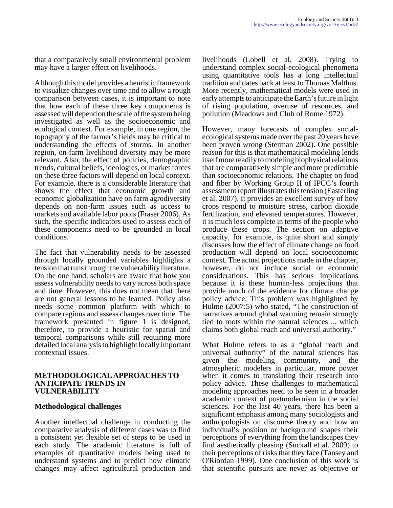that a comparatively small environmental problem may have a larger effect on livelihoods.

Although this model provides a heuristic framework to visualize changes over time and to allow a rough comparison between cases, it is important to note that how each of these three key components is assessed will depend on the scale of the system being investigated as well as the socioeconomic and ecological context. For example, in one region, the topography of the farmer's fields may be critical to understanding the effects of storms. In another region, on-farm livelihood diversity may be more relevant. Also, the effect of policies, demographic trends, cultural beliefs, ideologies, or market forces on these three factors will depend on local context. For example, there is a considerable literature that shows the effect that economic growth and economic globalization have on farm agrodiversity depends on non-farm issues such as access to markets and available labor pools (Fraser 2006). As such, the specific indicators used to assess each of these components need to be grounded in local conditions.

The fact that vulnerability needs to be assessed through locally grounded variables highlights a tension that runs through the vulnerability literature. On the one hand, scholars are aware that how you assess vulnerability needs to vary across both space and time. However, this does not mean that there are not general lessons to be learned. Policy also needs some common platform with which to compare regions and assess changes over time. The framework presented in figure 1 is designed, therefore, to provide a heuristic for spatial and temporal comparisons while still requiring more detailed local analysis to highlight locally important contextual issues.

#### **METHODOLOGICAL APPROACHES TO ANTICIPATE TRENDS IN VULNERABILITY**

#### **Methodological challenges**

Another intellectual challenge in conducting the comparative analysis of different cases was to find a consistent yet flexible set of steps to be used in each study. The academic literature is full of examples of quantitative models being used to understand systems and to predict how climatic changes may affect agricultural production and

livelihoods (Lobell et al. 2008). Trying to understand complex social-ecological phenomena using quantitative tools has a long intellectual tradition and dates back at least to Thomas Malthus. More recently, mathematical models were used in early attempts to anticipate the Earth's future in light of rising population, overuse of resources, and pollution (Meadows and Club of Rome 1972).

However, many forecasts of complex socialecological systems made over the past 20 years have been proven wrong (Sterman 2002). One possible reason for this is that mathematical modeling lends itself more readily to modeling biophysical relations that are comparatively simple and more predictable than socioeconomic relations. The chapter on food and fiber by Working Group II of IPCC's fourth assessment report illustrates this tension (Easterling et al. 2007). It provides an excellent survey of how crops respond to moisture stress, carbon dioxide fertilization, and elevated temperatures. However, it is much less complete in terms of the people who produce these crops. The section on adaptive capacity, for example, is quite short and simply discusses how the effect of climate change on food production will depend on local socioeconomic context. The actual projections made in the chapter, however, do not include social or economic considerations. This has serious implications because it is these human-less projections that provide much of the evidence for climate change policy advice. This problem was highlighted by Hulme (2007:5) who stated, "The construction of narratives around global warming remain strongly tied to roots within the natural sciences ... which claims both global reach and universal authority."

What Hulme refers to as a "global reach and universal authority" of the natural sciences has given the modeling community, and the atmospheric modelers in particular, more power when it comes to translating their research into policy advice. These challenges to mathematical modeling approaches need to be seen in a broader academic context of postmodernism in the social sciences. For the last 40 years, there has been a significant emphasis among many sociologists and anthropologists on discourse theory and how an individual's position or background shapes their perceptions of everything from the landscapes they find aesthetically pleasing (Suckall et al. 2009) to their perceptions of risks that they face (Tansey and O'Riordan 1999). One conclusion of this work is that scientific pursuits are never as objective or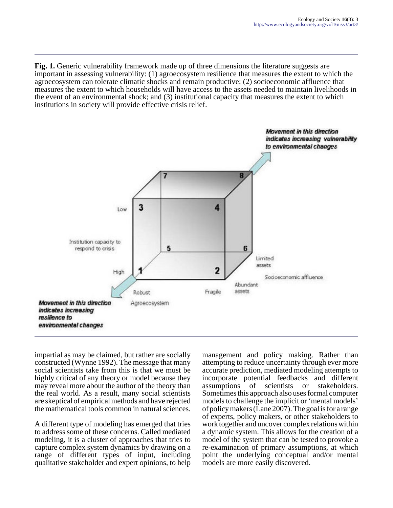**Fig. 1.** Generic vulnerability framework made up of three dimensions the literature suggests are important in assessing vulnerability: (1) agroecosystem resilience that measures the extent to which the agroecosystem can tolerate climatic shocks and remain productive; (2) socioeconomic affluence that measures the extent to which households will have access to the assets needed to maintain livelihoods in the event of an environmental shock; and (3) institutional capacity that measures the extent to which institutions in society will provide effective crisis relief.



impartial as may be claimed, but rather are socially constructed (Wynne 1992). The message that many social scientists take from this is that we must be highly critical of any theory or model because they may reveal more about the author of the theory than the real world. As a result, many social scientists are skeptical of empirical methods and have rejected the mathematical tools common in natural sciences.

A different type of modeling has emerged that tries to address some of these concerns. Called mediated modeling, it is a cluster of approaches that tries to capture complex system dynamics by drawing on a range of different types of input, including qualitative stakeholder and expert opinions, to help management and policy making. Rather than attempting to reduce uncertainty through ever more accurate prediction, mediated modeling attempts to incorporate potential feedbacks and different of scientists or Sometimes this approach also uses formal computer models to challenge the implicit or 'mental models' of policy makers (Lane 2007). The goal is for a range of experts, policy makers, or other stakeholders to work together and uncover complex relations within a dynamic system. This allows for the creation of a model of the system that can be tested to provoke a re-examination of primary assumptions, at which point the underlying conceptual and/or mental models are more easily discovered.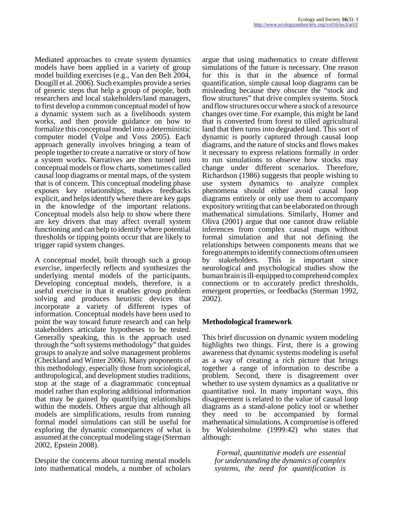Mediated approaches to create system dynamics models have been applied in a variety of group model building exercises (e.g., Van den Belt 2004, Dougill et al. 2006). Such examples provide a series of generic steps that help a group of people, both researchers and local stakeholders/land managers, to first develop a common conceptual model of how a dynamic system such as a livelihoods system works, and then provide guidance on how to formalize this conceptual model into a deterministic computer model (Volpe and Voss 2005). Each approach generally involves bringing a team of people together to create a narrative or story of how a system works. Narratives are then turned into conceptual models or flow charts, sometimes called causal loop diagrams or mental maps, of the system that is of concern. This conceptual modeling phase exposes key relationships, makes feedbacks explicit, and helps identify where there are key gaps in the knowledge of the important relations. Conceptual models also help to show where there are key drivers that may affect overall system functioning and can help to identify where potential thresholds or tipping points occur that are likely to trigger rapid system changes.

A conceptual model, built through such a group exercise, imperfectly reflects and synthesizes the underlying mental models of the participants. Developing conceptual models, therefore, is a useful exercise in that it enables group problem solving and produces heuristic devices that incorporate a variety of different types of information. Conceptual models have been used to point the way toward future research and can help stakeholders articulate hypotheses to be tested. Generally speaking, this is the approach used through the "soft systems methodology" that guides groups to analyze and solve management problems (Checkland and Winter 2006). Many proponents of this methodology, especially those from sociological, anthropological, and development studies traditions, stop at the stage of a diagrammatic conceptual model rather than exploring additional information that may be gained by quantifying relationships within the models. Others argue that although all models are simplifications, results from running formal model simulations can still be useful for exploring the dynamic consequences of what is assumed at the conceptual modeling stage (Sterman 2002, Epstein 2008).

Despite the concerns about turning mental models into mathematical models, a number of scholars

argue that using mathematics to create different simulations of the future is necessary. One reason for this is that in the absence of formal quantification, simple causal loop diagrams can be misleading because they obscure the "stock and flow structures" that drive complex systems. Stock and flow structures occur where a stock of a resource changes over time. For example, this might be land that is converted from forest to tilled agricultural land that then turns into degraded land. This sort of dynamic is poorly captured through causal loop diagrams, and the nature of stocks and flows makes it necessary to express relations formally in order to run simulations to observe how stocks may change under different scenarios. Therefore, Richardson (1986) suggests that people wishing to use system dynamics to analyze complex phenomena should either avoid causal loop diagrams entirely or only use them to accompany expository writing that can be elaborated on through mathematical simulations. Similarly, Homer and Oliva (2001) argue that one cannot draw reliable inferences from complex causal maps without formal simulation and that not defining the relationships between components means that we forego attempts to identify connections often unseen by stakeholders. This is important since neurological and psychological studies show the human brain is ill-equipped to comprehend complex connections or to accurately predict thresholds, emergent properties, or feedbacks (Sterman 1992, 2002).

# **Methodological framework**

This brief discussion on dynamic system modeling highlights two things. First, there is a growing awareness that dynamic systems modeling is useful as a way of creating a rich picture that brings together a range of information to describe a problem. Second, there is disagreement over whether to use system dynamics as a qualitative or quantitative tool. In many important ways, this disagreement is related to the value of causal loop diagrams as a stand-alone policy tool or whether they need to be accompanied by formal mathematical simulations. A compromise is offered by Wolstenholme (1999:42) who states that although:

*Formal, quantitative models are essential for understanding the dynamics of complex systems, the need for quantification is*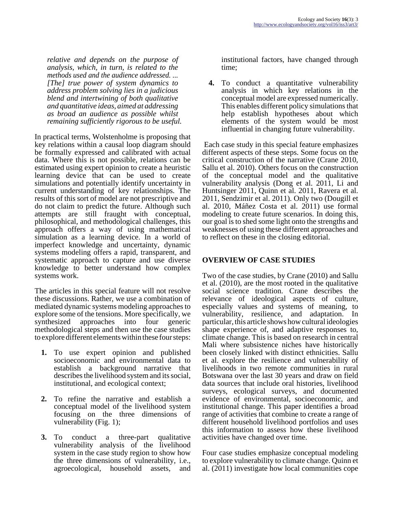*relative and depends on the purpose of analysis, which, in turn, is related to the methods used and the audience addressed. ... [The] true power of system dynamics to address problem solving lies in a judicious blend and intertwining of both qualitative and quantitative ideas, aimed at addressing as broad an audience as possible whilst remaining sufficiently rigorous to be useful.*

In practical terms, Wolstenholme is proposing that key relations within a causal loop diagram should be formally expressed and calibrated with actual data. Where this is not possible, relations can be estimated using expert opinion to create a heuristic learning device that can be used to create simulations and potentially identify uncertainty in current understanding of key relationships. The results of this sort of model are not prescriptive and do not claim to predict the future. Although such attempts are still fraught with conceptual, philosophical, and methodological challenges, this approach offers a way of using mathematical simulation as a learning device. In a world of imperfect knowledge and uncertainty, dynamic systems modeling offers a rapid, transparent, and systematic approach to capture and use diverse knowledge to better understand how complex systems work.

The articles in this special feature will not resolve these discussions. Rather, we use a combination of mediated dynamic systems modeling approaches to explore some of the tensions. More specifically, we synthesized approaches into four generic methodological steps and then use the case studies to explore different elements within these four steps:

- **1.** To use expert opinion and published socioeconomic and environmental data to establish a background narrative that describes the livelihood system and its social, institutional, and ecological context;
- **2.** To refine the narrative and establish a conceptual model of the livelihood system focusing on the three dimensions of vulnerability (Fig. 1);
- **3.** To conduct a three-part qualitative vulnerability analysis of the livelihood system in the case study region to show how the three dimensions of vulnerability, i.e., agroecological, household assets, and

institutional factors, have changed through time;

**4.** To conduct a quantitative vulnerability analysis in which key relations in the conceptual model are expressed numerically. This enables different policy simulations that help establish hypotheses about which elements of the system would be most influential in changing future vulnerability.

 Each case study in this special feature emphasizes different aspects of these steps. Some focus on the critical construction of the narrative (Crane 2010, Sallu et al. 2010). Others focus on the construction of the conceptual model and the qualitative vulnerability analysis (Dong et al. 2011, Li and Huntsinger 2011, Quinn et al. 2011, Ravera et al. 2011, Sendzimir et al. 2011). Only two (Dougill et al. 2010, Máñez Costa et al. 2011) use formal modeling to create future scenarios. In doing this, our goal is to shed some light onto the strengths and weaknesses of using these different approaches and to reflect on these in the closing editorial.

# **OVERVIEW OF CASE STUDIES**

Two of the case studies, by Crane (2010) and Sallu et al. (2010), are the most rooted in the qualitative social science tradition. Crane describes the relevance of ideological aspects of culture, especially values and systems of meaning, to vulnerability, resilience, and adaptation. In particular, this article shows how cultural ideologies shape experience of, and adaptive responses to, climate change. This is based on research in central Mali where subsistence niches have historically been closely linked with distinct ethnicities. Sallu et al. explore the resilience and vulnerability of livelihoods in two remote communities in rural Botswana over the last 30 years and draw on field data sources that include oral histories, livelihood surveys, ecological surveys, and documented evidence of environmental, socioeconomic, and institutional change. This paper identifies a broad range of activities that combine to create a range of different household livelihood portfolios and uses this information to assess how these livelihood activities have changed over time.

Four case studies emphasize conceptual modeling to explore vulnerability to climate change. Quinn et al. (2011) investigate how local communities cope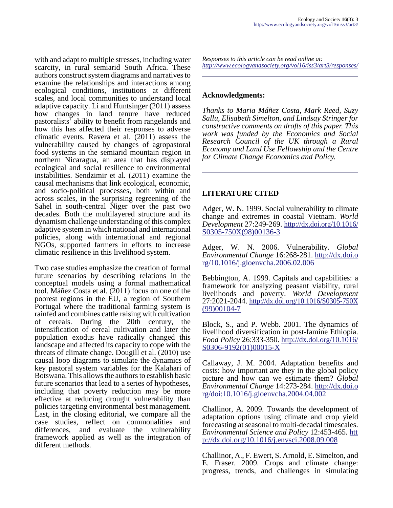with and adapt to multiple stresses, including water scarcity, in rural semiarid South Africa. These authors construct system diagrams and narratives to examine the relationships and interactions among ecological conditions, institutions at different scales, and local communities to understand local adaptive capacity. Li and Huntsinger (2011) assess how changes in land tenure have reduced pastoralists' ability to benefit from rangelands and how this has affected their responses to adverse climatic events. Ravera et al. (2011) assess the vulnerability caused by changes of agropastoral food systems in the semiarid mountain region in northern Nicaragua, an area that has displayed ecological and social resilience to environmental instabilities. Sendzimir et al. (2011) examine the causal mechanisms that link ecological, economic, and socio-political processes, both within and across scales, in the surprising regreening of the Sahel in south-central Niger over the past two decades. Both the multilayered structure and its dynamism challenge understanding of this complex adaptive system in which national and international policies, along with international and regional NGOs, supported farmers in efforts to increase climatic resilience in this livelihood system.

Two case studies emphasize the creation of formal future scenarios by describing relations in the conceptual models using a formal mathematical tool. Máñez Costa et al. (2011) focus on one of the poorest regions in the EU, a region of Southern Portugal where the traditional farming system is rainfed and combines cattle raising with cultivation of cereals. During the 20th century, the intensification of cereal cultivation and later the population exodus have radically changed this landscape and affected its capacity to cope with the threats of climate change. Dougill et al. (2010) use causal loop diagrams to simulate the dynamics of key pastoral system variables for the Kalahari of Botswana. This allows the authors to establish basic future scenarios that lead to a series of hypotheses, including that poverty reduction may be more effective at reducing drought vulnerability than policies targeting environmental best management. Last, in the closing editorial, we compare all the case studies, reflect on commonalities and differences, and evaluate the vulnerability framework applied as well as the integration of different methods.

*Responses to this article can be read online at: <http://www.ecologyandsociety.org/vol16/iss3/art3/responses/>*

## **Acknowledgments:**

*Thanks to Maria Máñez Costa, Mark Reed, Suzy Sallu, Elisabeth Simelton, and Lindsay Stringer for constructive comments on drafts of this paper. This work was funded by the Economics and Social Research Council of the UK through a Rural Economy and Land Use Fellowship and the Centre for Climate Change Economics and Policy.* 

# **LITERATURE CITED**

Adger, W. N. 1999. Social vulnerability to climate change and extremes in coastal Vietnam. *World Development* 27:249-269. [http://dx.doi.org/10.1016/](http://dx.doi.org/10.1016/S0305-750X(98)00136-3) [S0305-750X\(98\)00136-3](http://dx.doi.org/10.1016/S0305-750X(98)00136-3)

Adger, W. N. 2006. Vulnerability. *Global Environmental Change* 16:268-281. [http://dx.doi.o](http://dx.doi.org/10.1016/j.gloenvcha.2006.02.006) [rg/10.1016/j.gloenvcha.2006.02.006](http://dx.doi.org/10.1016/j.gloenvcha.2006.02.006)

Bebbington, A. 1999. Capitals and capabilities: a framework for analyzing peasant viability, rural livelihoods and poverty. *World Development* 27:2021-2044. [http://dx.doi.org/10.1016/S0305-750X](http://dx.doi.org/10.1016/S0305-750X(99)00104-7) [\(99\)00104-7](http://dx.doi.org/10.1016/S0305-750X(99)00104-7)

Block, S., and P. Webb. 2001. The dynamics of livelihood diversification in post-famine Ethiopia. *Food Policy* 26:333-350. [http://dx.doi.org/10.1016/](http://dx.doi.org/10.1016/S0306-9192(01)00015-X) [S0306-9192\(01\)00015-X](http://dx.doi.org/10.1016/S0306-9192(01)00015-X)

Callaway, J. M. 2004. Adaptation benefits and costs: how important are they in the global policy picture and how can we estimate them? *Global Environmental Change* 14:273-284. [http://dx.doi.o](http://dx.doi.org/doi:10.1016/j.gloenvcha.2004.04.002) [rg/doi:10.1016/j.gloenvcha.2004.04.002](http://dx.doi.org/doi:10.1016/j.gloenvcha.2004.04.002)

Challinor, A. 2009. Towards the development of adaptation options using climate and crop yield forecasting at seasonal to multi-decadal timescales. *Environmental Science and Policy* 12:453-465. [htt](http://dx.doi.org/10.1016/j.envsci.2008.09.008) [p://dx.doi.org/10.1016/j.envsci.2008.09.008](http://dx.doi.org/10.1016/j.envsci.2008.09.008)

Challinor, A., F. Ewert, S. Arnold, E. Simelton, and E. Fraser. 2009. Crops and climate change: progress, trends, and challenges in simulating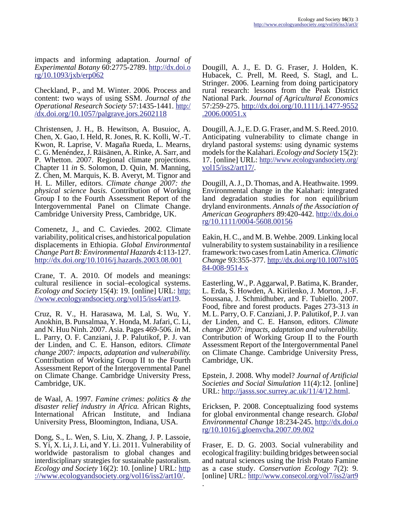impacts and informing adaptation. *Journal of Experimental Botany* 60:2775-2789. [http://dx.doi.o](http://dx.doi.org/10.1093/jxb/erp062) [rg/10.1093/jxb/erp062](http://dx.doi.org/10.1093/jxb/erp062)

Checkland, P., and M. Winter. 2006. Process and content: two ways of using SSM. *Journal of the Operational Research Society* 57:1435-1441. [http:/](http://dx.doi.org/10.1057/palgrave.jors.2602118) [/dx.doi.org/10.1057/palgrave.jors.2602118](http://dx.doi.org/10.1057/palgrave.jors.2602118)

Christensen, J. H., B. Hewitson, A. Busuioc, A. Chen, X. Gao, I. Held, R. Jones, R. K. Kolli, W.-T. Kwon, R. Laprise, V. Magaña Rueda, L. Mearns, C. G. Menéndez, J. Räisänen, A. Rinke, A. Sarr, and P. Whetton. 2007. Regional climate projections. Chapter 11 *in* S. Solomon, D. Quin, M. Manning, Z. Chen, M. Marquis, K. B. Averyt, M. Tignor and H. L. Miller, editors. *Climate change 2007: the physical science basis.* Contribution of Working Group I to the Fourth Assessment Report of the Intergovernmental Panel on Climate Change. Cambridge University Press, Cambridge, UK.

Comenetz, J., and C. Caviedes. 2002. Climate variability, political crises, and historical population displacements in Ethiopia. *Global Environmental Change Part B: Environmental Hazards* 4:113-127. <http://dx.doi.org/10.1016/j.hazards.2003.08.001>

Crane, T. A. 2010. Of models and meanings: cultural resilience in social–ecological systems. *Ecology and Society* 15(4): 19. [online] URL: [http:](http://www.ecologyandsociety.org/vol15/iss4/art19/) [//www.ecologyandsociety.org/vol15/iss4/art19.](http://www.ecologyandsociety.org/vol15/iss4/art19/)

Cruz, R. V., H. Harasawa, M. Lal, S. Wu, Y. Anokhin, B. Punsalmaa, Y. Honda, M. Jafari, C. Li, and N. Huu Ninh. 2007. Asia. Pages 469-506. *in* M. L. Parry, O. F. Canziani, J. P. Palutikof, P. J. van der Linden, and C. E. Hanson, editors. *Climate change 2007: impacts, adaptation and vulnerability.* Contribution of Working Group II to the Fourth Assessment Report of the Intergovernmental Panel on Climate Change. Cambridge University Press, Cambridge, UK.

de Waal, A. 1997. *Famine crimes: politics & the disaster relief industry in Africa.* African Rights, International African Institute, and Indiana University Press, Bloomington, Indiana, USA.

Dong, S., L. Wen, S. Liu, X. Zhang, J. P. Lassoie, S. Yi, X. Li, J. Li, and Y. Li. 2011. Vulnerability of worldwide pastoralism to global changes and interdisciplinary strategies for sustainable pastoralism. *Ecology and Society* 16(2): 10. [online] URL: [http](http://www.ecologyandsociety.org/vol16/iss2/art10/) [://www.ecologyandsociety.org/vol16/iss2/art10/](http://www.ecologyandsociety.org/vol16/iss2/art10/).

Dougill, A. J., E. D. G. Fraser, J. Holden, K. Hubacek, C. Prell, M. Reed, S. Stagl, and L. Stringer. 2006. Learning from doing participatory rural research: lessons from the Peak District National Park. *Journal of Agricultural Economics* 57:259-275. [http://dx.doi.org/10.1111/j.1477-9552](http://dx.doi.org/10.1111/j.1477-9552.2006.00051.x) [.2006.00051.x](http://dx.doi.org/10.1111/j.1477-9552.2006.00051.x)

Dougill, A. J., E. D. G. Fraser, and M. S. Reed. 2010. Anticipating vulnerability to climate change in dryland pastoral systems: using dynamic systems models for the Kalahari. *Ecology and Society* 15(2): 17. [online] URL: [http://www.ecologyandsociety.org/](http://www.ecologyandsociety.org/vol15/iss2/art17/) [vol15/iss2/art17/.](http://www.ecologyandsociety.org/vol15/iss2/art17/)

Dougill, A. J., D. Thomas, and A. Heathwaite. 1999. Environmental change in the Kalahari: integrated land degradation studies for non equilibrium dryland environments. *Annals of the Association of American Geographers* 89:420-442. [http://dx.doi.o](http://dx.doi.org/10.1111/0004-5608.00156) [rg/10.1111/0004-5608.00156](http://dx.doi.org/10.1111/0004-5608.00156)

Eakin, H. C., and M. B. Wehbe. 2009. Linking local vulnerability to system sustainability in a resilience framework: two cases from Latin America. *Climatic Change* 93:355-377. [http://dx.doi.org/10.1007/s105](http://dx.doi.org/10.1007/s10584-008-9514-x) [84-008-9514-x](http://dx.doi.org/10.1007/s10584-008-9514-x)

Easterling, W., P. Aggarwal, P. Batima, K. Brander, L. Erda, S. Howden, A. Kirilenko, J. Morton, J.-F. Soussana, J. Schmidhuber, and F. Tubiello. 2007. Food, fibre and forest products. Pages 273-313 *in* M. L. Parry, O. F. Canziani, J. P. Palutikof, P. J. van der Linden, and C. E. Hanson, editors. *Climate change 2007: impacts, adaptation and vulnerability.* Contribution of Working Group II to the Fourth Assessment Report of the Intergovernmental Panel on Climate Change. Cambridge University Press, Cambridge, UK.

Epstein, J. 2008. Why model? *Journal of Artificial Societies and Social Simulation* 11(4):12. [online] URL:<http://jasss.soc.surrey.ac.uk/11/4/12.html>.

Ericksen, P. 2008. Conceptualizing food systems for global environmental change research. *Global Environmental Change* 18:234-245. [http://dx.doi.o](http://dx.doi.org/10.1016/j.gloenvcha.2007.09.002) [rg/10.1016/j.gloenvcha.2007.09.002](http://dx.doi.org/10.1016/j.gloenvcha.2007.09.002)

Fraser, E. D. G. 2003. Social vulnerability and ecological fragility: building bridges between social and natural sciences using the Irish Potato Famine as a case study. *Conservation Ecology* 7(2): 9. [online] URL:<http://www.consecol.org/vol7/iss2/art9>

.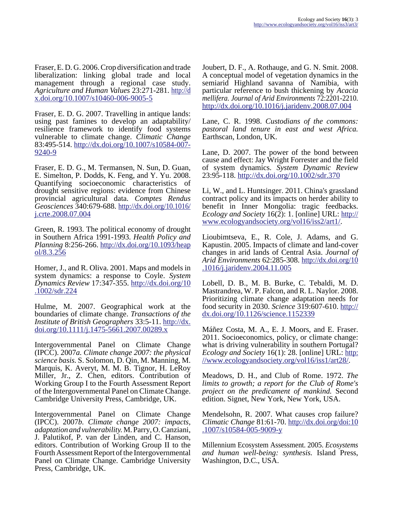Fraser, E. D. G. 2006. Crop diversification and trade liberalization: linking global trade and local management through a regional case study. *Agriculture and Human Values* 23:271-281. [http://d](http://dx.doi.org/10.1007/s10460-006-9005-5) [x.doi.org/10.1007/s10460-006-9005-5](http://dx.doi.org/10.1007/s10460-006-9005-5)

Fraser, E. D. G. 2007. Travelling in antique lands: using past famines to develop an adaptability/ resilience framework to identify food systems vulnerable to climate change. *Climatic Change* 83:495-514. [http://dx.doi.org/10.1007/s10584-007-](http://dx.doi.org/10.1007/s10584-007-9240-9) [9240-9](http://dx.doi.org/10.1007/s10584-007-9240-9)

Fraser, E. D. G., M. Termansen, N. Sun, D. Guan, E. Simelton, P. Dodds, K. Feng, and Y. Yu. 2008. Quantifying socioeconomic characteristics of drought sensitive regions: evidence from Chinese provincial agricultural data. *Comptes Rendus Geosciences* 340:679-688. [http://dx.doi.org/10.1016/](http://dx.doi.org/10.1016/j.crte.2008.07.004) [j.crte.2008.07.004](http://dx.doi.org/10.1016/j.crte.2008.07.004)

Green, R. 1993. The political economy of drought in Southern Africa 1991-1993. *Health Policy and Planning* 8:256-266. [http://dx.doi.org/10.1093/heap](http://dx.doi.org/10.1093/heapol/8.3.256) [ol/8.3.256](http://dx.doi.org/10.1093/heapol/8.3.256)

Homer, J., and R. Oliva. 2001. Maps and models in system dynamics: a response to Coyle. *System Dynamics Review* 17:347-355. [http://dx.doi.org/10](http://dx.doi.org/10.1002/sdr.224) [.1002/sdr.224](http://dx.doi.org/10.1002/sdr.224)

Hulme, M. 2007. Geographical work at the boundaries of climate change. *Transactions of the Institute of British Geographers* 33:5-11. [http://dx.](http://dx.doi.org/10.1111/j.1475-5661.2007.00289.x) [doi.org/10.1111/j.1475-5661.2007.00289.x](http://dx.doi.org/10.1111/j.1475-5661.2007.00289.x)

Intergovernmental Panel on Climate Change (IPCC). 2007*a. Climate change 2007: the physical science basis.* S. Solomon, D. Qin, M. Manning, M. Marquis, K. Averyt, M. M. B. Tignor, H. LeRoy Miller, Jr., Z. Chen, editors. Contribution of Working Group I to the Fourth Assessment Report of the Intergovernmental Panel on Climate Change. Cambridge University Press, Cambridge, UK.

Intergovernmental Panel on Climate Change (IPCC). 2007*b. Climate change 2007: impacts, adaptation and vulnerability.* M. Parry, O. Canziani, J. Palutikof, P. van der Linden, and C. Hanson, editors. Contribution of Working Group II to the Fourth Assessment Report of the Intergovernmental Panel on Climate Change. Cambridge University Press, Cambridge, UK.

Joubert, D. F., A. Rothauge, and G. N. Smit. 2008. A conceptual model of vegetation dynamics in the semiarid Highland savanna of Namibia, with particular reference to bush thickening by *Acacia mellifera. Journal of Arid Environments* 72:2201-2210. <http://dx.doi.org/10.1016/j.jaridenv.2008.07.004>

Lane, C. R. 1998. *Custodians of the commons: pastoral land tenure in east and west Africa.* Earthscan, London, UK.

Lane, D. 2007. The power of the bond between cause and effect: Jay Wright Forrester and the field of system dynamics. *System Dynamic Review* 23:95-118.<http://dx.doi.org/10.1002/sdr.370>

Li, W., and L. Huntsinger. 2011. China's grassland contract policy and its impacts on herder ability to benefit in Inner Mongolia: tragic feedbacks. *Ecology and Society* 16(2): 1. [online] URL: [http://](http://www.ecologyandsociety.org/vol16/iss2/art1/) [www.ecologyandsociety.org/vol16/iss2/art1/](http://www.ecologyandsociety.org/vol16/iss2/art1/).

Lioubimtseva, E., R. Cole, J. Adams, and G. Kapustin. 2005. Impacts of climate and land-cover changes in arid lands of Central Asia. *Journal of Arid Environments* 62:285-308. [http://dx.doi.org/10](http://dx.doi.org/10.1016/j.jaridenv.2004.11.005) [.1016/j.jaridenv.2004.11.005](http://dx.doi.org/10.1016/j.jaridenv.2004.11.005)

Lobell, D. B., M. B. Burke, C. Tebaldi, M. D. Mastrandrea, W. P. Falcon, and R. L. Naylor. 2008. Prioritizing climate change adaptation needs for food security in 2030. *Science* 319:607-610. [http://](http://dx.doi.org/10.1126/science.1152339) [dx.doi.org/10.1126/science.1152339](http://dx.doi.org/10.1126/science.1152339)

Máñez Costa, M. A., E. J. Moors, and E. Fraser. 2011. Socioeconomics, policy, or climate change: what is driving vulnerability in southern Portugal? *Ecology and Society* 16(1): 28. [online] URL: [http:](http://www.ecologyandsociety.org/vol16/iss1/art28/) [//www.ecologyandsociety.org/vol16/iss1/art28/.](http://www.ecologyandsociety.org/vol16/iss1/art28/)

Meadows, D. H., and Club of Rome. 1972. *The limits to growth; a report for the Club of Rome's project on the predicament of mankind.* Second edition. Signet, New York, New York, USA.

Mendelsohn, R. 2007. What causes crop failure? *Climatic Change* 81:61-70. [http://dx.doi.org/doi:10](http://dx.doi.org/doi:10.1007/s10584-005-9009-y)  $.1007/s10584-005-9009-y$ 

Millennium Ecosystem Assessment. 2005. *Ecosystems and human well-being: synthesis.* Island Press, Washington, D.C., USA.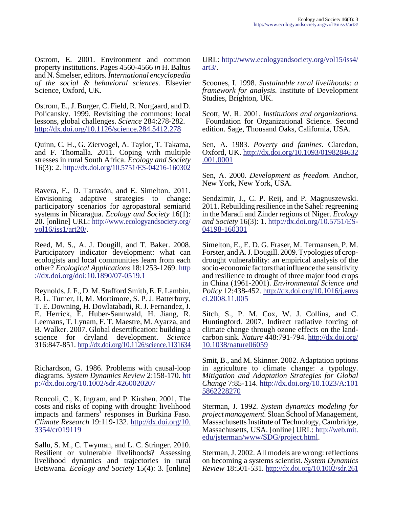Ostrom, E. 2001. Environment and common property institutions. Pages 4560-4566 *in* H. Baltus and N. Smelser, editors. *International encyclopedia of the social & behavioral sciences.* Elsevier Science, Oxford, UK.

Ostrom, E., J. Burger, C. Field, R. Norgaard, and D. Policansky. 1999. Revisiting the commons: local lessons, global challenges. *Science* 284:278-282. <http://dx.doi.org/10.1126/science.284.5412.278>

Quinn, C. H., G. Ziervogel, A. Taylor, T. Takama, and F. Thomalla. 2011. Coping with multiple stresses in rural South Africa. *Ecology and Society* 16(3): 2. [http://dx.doi.org/10.5751/ES-04216-160302](http://dx.doi.org/10.5751/ES-04216-160302 )

Ravera, F., D. Tarrasón, and E. Simelton. 2011. Envisioning adaptive strategies to change: participatory scenarios for agropastoral semiarid systems in Nicaragua. *Ecology and Society* 16(1): 20. [online] URL: [http://www.ecologyandsociety.org/](http://www.ecologyandsociety.org/vol16/iss1/art20/) [vol16/iss1/art20/.](http://www.ecologyandsociety.org/vol16/iss1/art20/)

Reed, M. S., A. J. Dougill, and T. Baker. 2008. Participatory indicator development: what can ecologists and local communities learn from each other? *Ecological Applications* 18:1253-1269. [http](http://dx.doi.org/doi:10.1890/07-0519.1) [://dx.doi.org/doi:10.1890/07-0519.1](http://dx.doi.org/doi:10.1890/07-0519.1)

Reynolds, J. F., D. M. Stafford Smith, E. F. Lambin, B. L. Turner, II, M. Mortimore, S. P. J. Batterbury, T. E. Downing, H. Dowlatabadi, R. J. Fernandez, J. E. Herrick, E. Huber-Sannwald, H. Jiang, R. Leemans, T. Lynam, F. T. Maestre, M. Ayarza, and B. Walker. 2007. Global desertification: building a science for dryland development. *Science* 316:847-851.<http://dx.doi.org/10.1126/science.1131634>

Richardson, G. 1986. Problems with causal-loop diagrams. *System Dynamics Review* 2:158-170. [htt](http://dx.doi.org/10.1002/sdr.4260020207) [p://dx.doi.org/10.1002/sdr.4260020207](http://dx.doi.org/10.1002/sdr.4260020207)

Roncoli, C., K. Ingram, and P. Kirshen. 2001. The costs and risks of coping with drought: livelihood impacts and farmers' responses in Burkina Faso. *Climate Research* 19:119-132. [http://dx.doi.org/10.](http://dx.doi.org/10.3354/cr019119) [3354/cr019119](http://dx.doi.org/10.3354/cr019119)

Sallu, S. M., C. Twyman, and L. C. Stringer. 2010. Resilient or vulnerable livelihoods? Assessing livelihood dynamics and trajectories in rural Botswana. *Ecology and Society* 15(4): 3. [online] URL: [http://www.ecologyandsociety.org/vol15/iss4/](http://www.ecologyandsociety.org/vol15/iss4/art3/) [art3/.](http://www.ecologyandsociety.org/vol15/iss4/art3/)

Scoones, I. 1998. *Sustainable rural livelihoods: a framework for analysis.* Institute of Development Studies, Brighton, UK.

Scott, W. R. 2001. *Institutions and organizations.* Foundation for Organizational Science. Second edition. Sage, Thousand Oaks, California, USA.

Sen, A. 1983. *Poverty and famines.* Claredon, Oxford, UK. [http://dx.doi.org/10.1093/0198284632](http://dx.doi.org/10.1093/0198284632.001.0001) [.001.0001](http://dx.doi.org/10.1093/0198284632.001.0001)

Sen, A. 2000. *Development as freedom.* Anchor, New York, New York, USA.

Sendzimir, J., C. P. Reij, and P. Magnuszewski. 2011. Rebuilding resilience in the Sahel: regreening in the Maradi and Zinder regions of Niger. *Ecology and Society* 16(3): 1. [http://dx.doi.org/10.5751/ES-](http://dx.doi.org/10.5751/ES-04198-160301 )[04198-160301](http://dx.doi.org/10.5751/ES-04198-160301 )

Simelton, E., E. D. G. Fraser, M. Termansen, P. M. Forster, and A. J. Dougill. 2009. Typologies of cropdrought vulnerability: an empirical analysis of the socio-economic factors that influence the sensitivity and resilience to drought of three major food crops in China (1961-2001). *Environmental Science and Policy* 12:438-452. [http://dx.doi.org/10.1016/j.envs](http://dx.doi.org/10.1016/j.envsci.2008.11.005) [ci.2008.11.005](http://dx.doi.org/10.1016/j.envsci.2008.11.005)

Sitch, S., P. M. Cox, W. J. Collins, and C. Huntingford. 2007. Indirect radiative forcing of climate change through ozone effects on the landcarbon sink. *Nature* 448:791-794. [http://dx.doi.org/](http://dx.doi.org/10.1038/nature06059) [10.1038/nature06059](http://dx.doi.org/10.1038/nature06059)

Smit, B., and M. Skinner. 2002. Adaptation options in agriculture to climate change: a typology. *Mitigation and Adaptation Strategies for Global Change* 7:85-114. [http://dx.doi.org/10.1023/A:101](http://dx.doi.org/10.1023/A:1015862228270) [5862228270](http://dx.doi.org/10.1023/A:1015862228270)

Sterman, J. 1992. *System dynamics modeling for project management.* Sloan School of Management, Massachusetts Institute of Technology, Cambridge, Massachusetts, USA. [online] URL: [http://web.mit.](http://web.mit.edu/jsterman/www/SDG/project.html) [edu/jsterman/www/SDG/project.html](http://web.mit.edu/jsterman/www/SDG/project.html).

Sterman, J. 2002. All models are wrong: reflections on becoming a systems scientist. *System Dynamics Review* 18:501-531. <http://dx.doi.org/10.1002/sdr.261>